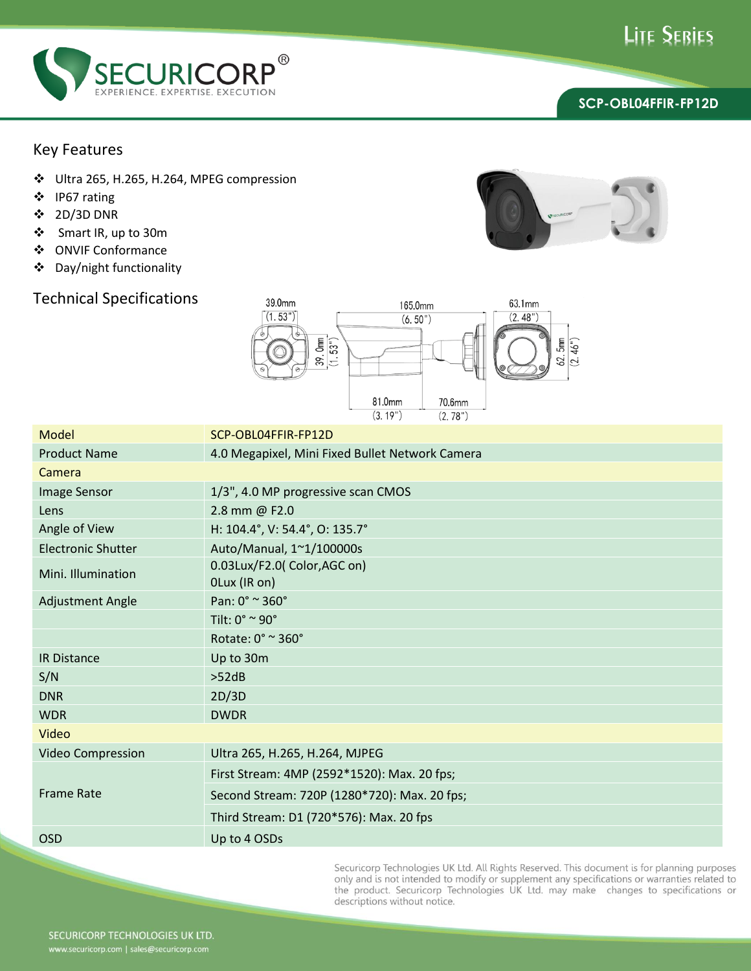



## Key Features

- Ultra 265, H.265, H.264, MPEG compression
- IP67 rating
- 2D/3D DNR
- Smart IR, up to 30m
- ONVIF Conformance
- Day/night functionality

## Technical Specifications



| Model                     | SCP-OBL04FFIR-FP12D                             |  |
|---------------------------|-------------------------------------------------|--|
| <b>Product Name</b>       | 4.0 Megapixel, Mini Fixed Bullet Network Camera |  |
| Camera                    |                                                 |  |
| Image Sensor              | 1/3", 4.0 MP progressive scan CMOS              |  |
| Lens                      | 2.8 mm @ F2.0                                   |  |
| Angle of View             | H: 104.4°, V: 54.4°, O: 135.7°                  |  |
| <b>Electronic Shutter</b> | Auto/Manual, 1~1/100000s                        |  |
| Mini. Illumination        | 0.03Lux/F2.0( Color, AGC on)<br>OLux (IR on)    |  |
| <b>Adjustment Angle</b>   | Pan: 0° ~ 360°                                  |  |
|                           | Tilt: $0^\circ \simeq 90^\circ$                 |  |
|                           | Rotate: 0° ~ 360°                               |  |
| <b>IR Distance</b>        | Up to 30m                                       |  |
| S/N                       | >52dB                                           |  |
| <b>DNR</b>                | 2D/3D                                           |  |
| <b>WDR</b>                | <b>DWDR</b>                                     |  |
| Video                     |                                                 |  |
| Video Compression         | Ultra 265, H.265, H.264, MJPEG                  |  |
| <b>Frame Rate</b>         | First Stream: 4MP (2592*1520): Max. 20 fps;     |  |
|                           | Second Stream: 720P (1280*720): Max. 20 fps;    |  |
|                           | Third Stream: D1 (720*576): Max. 20 fps         |  |
| <b>OSD</b>                | Up to 4 OSDs                                    |  |

Securicorp Technologies UK Ltd. All Rights Reserved. This document is for planning purposes order the product. Securitory Technologies OR Ltd. Att Nights Reserved: This document is for planning purposes<br>only and is not intended to modify or supplement any specifications or warranties related to<br>the product. Secur descriptions without notice.